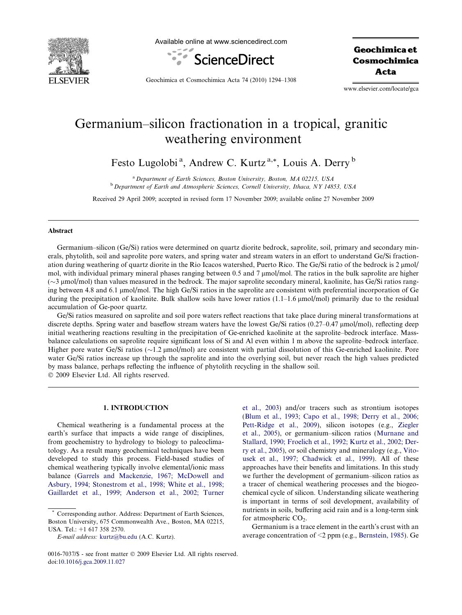

Available online at www.sciencedirect.com



Geochimica et Cosmochimica Acta

Geochimica et Cosmochimica Acta 74 (2010) 1294–1308

www.elsevier.com/locate/gca

# Germanium–silicon fractionation in a tropical, granitic weathering environment

Festo Lugolobi<sup>a</sup>, Andrew C. Kurtz<sup>a,\*</sup>, Louis A. Derry<sup>b</sup>

<sup>a</sup> Department of Earth Sciences, Boston University, Boston, MA 02215, USA <sup>b</sup> Department of Earth and Atmospheric Sciences, Cornell University, Ithaca, NY 14853, USA

Received 29 April 2009; accepted in revised form 17 November 2009; available online 27 November 2009

# Abstract

Germanium–silicon (Ge/Si) ratios were determined on quartz diorite bedrock, saprolite, soil, primary and secondary minerals, phytolith, soil and saprolite pore waters, and spring water and stream waters in an effort to understand Ge/Si fractionation during weathering of quartz diorite in the Rio Icacos watershed, Puerto Rico. The Ge/Si ratio of the bedrock is 2 µmol/ mol, with individual primary mineral phases ranging between 0.5 and 7  $\mu$ mol/mol. The ratios in the bulk saprolite are higher  $(\sim$ 3 µmol/mol) than values measured in the bedrock. The major saprolite secondary mineral, kaolinite, has Ge/Si ratios ranging between 4.8 and 6.1 lmol/mol. The high Ge/Si ratios in the saprolite are consistent with preferential incorporation of Ge during the precipitation of kaolinite. Bulk shallow soils have lower ratios  $(1.1-1.6 \mu m o l/mol)$  primarily due to the residual accumulation of Ge-poor quartz.

Ge/Si ratios measured on saprolite and soil pore waters reflect reactions that take place during mineral transformations at discrete depths. Spring water and baseflow stream waters have the lowest Ge/Si ratios (0.27–0.47 µmol/mol), reflecting deep initial weathering reactions resulting in the precipitation of Ge-enriched kaolinite at the saprolite–bedrock interface. Massbalance calculations on saprolite require significant loss of Si and Al even within 1 m above the saprolite–bedrock interface. Higher pore water Ge/Si ratios ( $\sim$ 1.2 µmol/mol) are consistent with partial dissolution of this Ge-enriched kaolinite. Pore water Ge/Si ratios increase up through the saprolite and into the overlying soil, but never reach the high values predicted by mass balance, perhaps reflecting the influence of phytolith recycling in the shallow soil. © 2009 Elsevier Ltd. All rights reserved.

#### 1. INTRODUCTION

Chemical weathering is a fundamental process at the earth's surface that impacts a wide range of disciplines, from geochemistry to hydrology to biology to paleoclimatology. As a result many geochemical techniques have been developed to study this process. Field-based studies of chemical weathering typically involve elemental/ionic mass balance [\(Garrels and Mackenzie, 1967; McDowell and](#page-13-0) [Asbury, 1994; Stonestrom et al., 1998; White et al., 1998;](#page-13-0) [Gaillardet et al., 1999; Anderson et al., 2002; Turner](#page-13-0) [et al., 2003\)](#page-13-0) and/or tracers such as strontium isotopes ([Blum et al., 1993; Capo et al., 1998; Derry et al., 2006;](#page-13-0) [Pett-Ridge et al., 2009\)](#page-13-0), silicon isotopes (e.g., [Ziegler](#page-14-0) [et al., 2005\)](#page-14-0), or germanium–silicon ratios ([Murnane and](#page-13-0) [Stallard, 1990; Froelich et al., 1992; Kurtz et al., 2002; Der](#page-13-0)[ry et al., 2005](#page-13-0)), or soil chemistry and mineralogy (e.g., [Vito](#page-14-0)[usek et al., 1997; Chadwick et al., 1999](#page-14-0)). All of these approaches have their benefits and limitations. In this study we further the development of germanium–silicon ratios as a tracer of chemical weathering processes and the biogeochemical cycle of silicon. Understanding silicate weathering is important in terms of soil development, availability of nutrients in soils, buffering acid rain and is a long-term sink for atmospheric  $CO<sub>2</sub>$ .

Germanium is a trace element in the earth's crust with an average concentration of <2 ppm (e.g., [Bernstein, 1985](#page-12-0)). Ge

Corresponding author. Address: Department of Earth Sciences, Boston University, 675 Commonwealth Ave., Boston, MA 02215, USA. Tel.: +1 617 358 2570.

E-mail address: [kurtz@bu.edu](mailto:kurtz@bu.edu) (A.C. Kurtz).

<sup>0016-7037/\$ -</sup> see front matter © 2009 Elsevier Ltd. All rights reserved. doi:[10.1016/j.gca.2009.11.027](http://dx.doi.org/10.1016/j.gca.2009.11.027)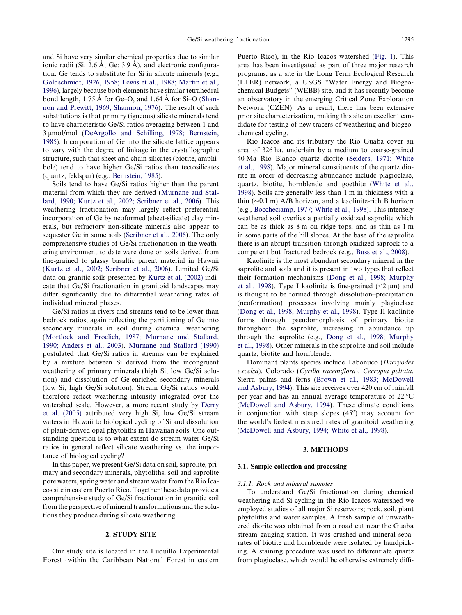and Si have very similar chemical properties due to similar ionic radii (Si; 2.6 Å, Ge: 3.9 Å), and electronic configuration. Ge tends to substitute for Si in silicate minerals (e.g., [Goldschmidt, 1926, 1958; Lewis et al., 1988; Martin et al.,](#page-13-0) [1996](#page-13-0)), largely because both elements have similar tetrahedral bond length,  $1.75 \text{ Å}$  for Ge–O, and  $1.64 \text{ Å}$  for Si–O [\(Shan](#page-13-0)[non and Prewitt, 1969; Shannon, 1976](#page-13-0)). The result of such substitutions is that primary (igneous) silicate minerals tend to have characteristic Ge/Si ratios averaging between 1 and 3 umol/mol ([DeArgollo and Schilling, 1978; Bernstein,](#page-13-0) [1985](#page-13-0)). Incorporation of Ge into the silicate lattice appears to vary with the degree of linkage in the crystallographic structure, such that sheet and chain silicates (biotite, amphibole) tend to have higher Ge/Si ratios than tectosilicates (quartz, feldspar) (e.g., [Bernstein, 1985](#page-12-0)).

Soils tend to have Ge/Si ratios higher than the parent material from which they are derived ([Murnane and Stal](#page-13-0)[lard, 1990; Kurtz et al., 2002; Scribner et al., 2006\)](#page-13-0). This weathering fractionation may largely reflect preferential incorporation of Ge by neoformed (sheet-silicate) clay minerals, but refractory non-silicate minerals also appear to sequester Ge in some soils ([Scribner et al., 2006\)](#page-13-0). The only comprehensive studies of Ge/Si fractionation in the weathering environment to date were done on soils derived from fine-grained to glassy basaltic parent material in Hawaii [\(Kurtz et al., 2002; Scribner et al., 2006\)](#page-13-0). Limited Ge/Si data on granitic soils presented by [Kurtz et al. \(2002\)](#page-13-0) indicate that Ge/Si fractionation in granitoid landscapes may differ significantly due to differential weathering rates of individual mineral phases.

Ge/Si ratios in rivers and streams tend to be lower than bedrock ratios, again reflecting the partitioning of Ge into secondary minerals in soil during chemical weathering [\(Mortlock and Froelich, 1987; Murnane and Stallard,](#page-13-0) [1990; Anders et al., 2003](#page-13-0)). [Murnane and Stallard \(1990\)](#page-13-0) postulated that Ge/Si ratios in streams can be explained by a mixture between Si derived from the incongruent weathering of primary minerals (high Si, low Ge/Si solution) and dissolution of Ge-enriched secondary minerals (low Si, high Ge/Si solution). Stream Ge/Si ratios would therefore reflect weathering intensity integrated over the watershed scale. However, a more recent study by [Derry](#page-13-0) [et al. \(2005\)](#page-13-0) attributed very high Si, low Ge/Si stream waters in Hawaii to biological cycling of Si and dissolution of plant-derived opal phytoliths in Hawaiian soils. One outstanding question is to what extent do stream water Ge/Si ratios in general reflect silicate weathering vs. the importance of biological cycling?

In this paper, we present Ge/Si data on soil, saprolite, primary and secondary minerals, phytoliths, soil and saprolite pore waters, spring water and stream water from the Rio Icacos site in eastern Puerto Rico. Together these data provide a comprehensive study of Ge/Si fractionation in granitic soil from the perspective of mineral transformations and the solutions they produce during silicate weathering.

## 2. STUDY SITE

Our study site is located in the Luquillo Experimental Forest (within the Caribbean National Forest in eastern Puerto Rico), in the Rio Icacos watershed [\(Fig. 1](#page-2-0)). This area has been investigated as part of three major research programs, as a site in the Long Term Ecological Research (LTER) network, a USGS "Water Energy and Biogeochemical Budgets" (WEBB) site, and it has recently become an observatory in the emerging Critical Zone Exploration Network (CZEN). As a result, there has been extensive prior site characterization, making this site an excellent candidate for testing of new tracers of weathering and biogeochemical cycling.

Rio Icacos and its tributary the Rio Guaba cover an area of 326 ha, underlain by a medium to coarse-grained 40 Ma Rio Blanco quartz diorite [\(Seiders, 1971; White](#page-13-0) [et al., 1998\)](#page-13-0). Major mineral constituents of the quartz diorite in order of decreasing abundance include plagioclase, quartz, biotite, hornblende and goethite [\(White et al.,](#page-14-0) [1998](#page-14-0)). Soils are generally less than 1 m in thickness with a thin  $(\sim 0.1 \text{ m})$  A/B horizon, and a kaolinite-rich B horizon (e.g., Boccheciamp, [1977; White et al., 1998\)](#page-13-0). This intensely weathered soil overlies a partially oxidized saprolite which can be as thick as 8 m on ridge tops, and as thin as 1 m in some parts of the hill slopes. At the base of the saprolite there is an abrupt transition through oxidized saprock to a competent but fractured bedrock (e.g., [Buss et al., 2008](#page-13-0)).

Kaolinite is the most abundant secondary mineral in the saprolite and soils and it is present in two types that reflect their formation mechanisms [\(Dong et al., 1998; Murphy](#page-13-0) [et al., 1998](#page-13-0)). Type I kaolinite is fine-grained  $(\leq 2 \mu m)$  and is thought to be formed through dissolution–precipitation (neoformation) processes involving mainly plagioclase [\(Dong et al., 1998; Murphy et al., 1998](#page-13-0)). Type II kaolinite forms through pseudomorphosis of primary biotite throughout the saprolite, increasing in abundance up through the saprolite (e.g., [Dong et al., 1998; Murphy](#page-13-0) [et al., 1998\)](#page-13-0). Other minerals in the saprolite and soil include quartz, biotite and hornblende.

Dominant plants species include Tabonuco (Dacryodes excelsa), Colorado (Cyrilla racemiflora), Cecropia peltata, Sierra palms and ferns [\(Brown et al., 1983; McDowell](#page-13-0) [and Asbury, 1994\)](#page-13-0). This site receives over 420 cm of rainfall per year and has an annual average temperature of 22 °C [\(McDowell and Asbury, 1994](#page-13-0)). These climate conditions in conjunction with steep slopes  $(45^{\circ})$  may account for the world's fastest measured rates of granitoid weathering [\(McDowell and Asbury, 1994; White et al., 1998\)](#page-13-0).

# 3. METHODS

#### 3.1. Sample collection and processing

## 3.1.1. Rock and mineral samples

To understand Ge/Si fractionation during chemical weathering and Si cycling in the Rio Icacos watershed we employed studies of all major Si reservoirs; rock, soil, plant phytoliths and water samples. A fresh sample of unweathered diorite was obtained from a road cut near the Guaba stream gauging station. It was crushed and mineral separates of biotite and hornblende were isolated by handpicking. A staining procedure was used to differentiate quartz from plagioclase, which would be otherwise extremely diffi-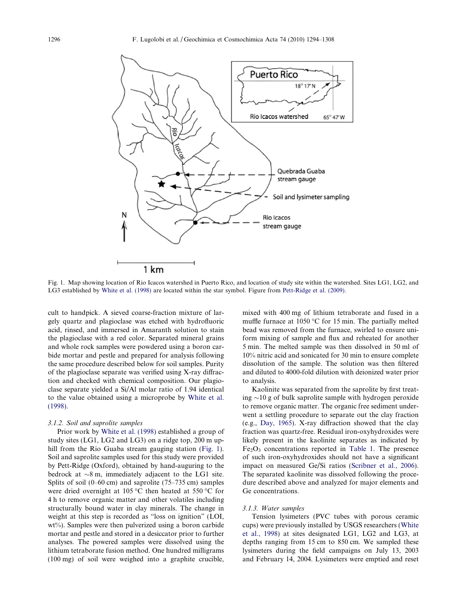<span id="page-2-0"></span>

Fig. 1. Map showing location of Rio Icacos watershed in Puerto Rico, and location of study site within the watershed. Sites LG1, LG2, and LG3 established by [White et al. \(1998\)](#page-14-0) are located within the star symbol. Figure from [Pett-Ridge et al. \(2009\).](#page-13-0)

cult to handpick. A sieved coarse-fraction mixture of largely quartz and plagioclase was etched with hydrofluoric acid, rinsed, and immersed in Amaranth solution to stain the plagioclase with a red color. Separated mineral grains and whole rock samples were powdered using a boron carbide mortar and pestle and prepared for analysis following the same procedure described below for soil samples. Purity of the plagioclase separate was verified using X-ray diffraction and checked with chemical composition. Our plagioclase separate yielded a Si/Al molar ratio of 1.94 identical to the value obtained using a microprobe by [White et al.](#page-14-0) [\(1998\).](#page-14-0)

#### 3.1.2. Soil and saprolite samples

Prior work by [White et al. \(1998\)](#page-14-0) established a group of study sites (LG1, LG2 and LG3) on a ridge top, 200 m uphill from the Rio Guaba stream gauging station (Fig. 1). Soil and saprolite samples used for this study were provided by Pett-Ridge (Oxford), obtained by hand-auguring to the bedrock at  $\sim 8$  m, immediately adjacent to the LG1 site. Splits of soil (0–60 cm) and saprolite (75–735 cm) samples were dried overnight at 105 °C then heated at 550 °C for 4 h to remove organic matter and other volatiles including structurally bound water in clay minerals. The change in weight at this step is recorded as "loss on ignition" (LOI, wt%). Samples were then pulverized using a boron carbide mortar and pestle and stored in a desiccator prior to further analyses. The powered samples were dissolved using the lithium tetraborate fusion method. One hundred milligrams (100 mg) of soil were weighed into a graphite crucible,

mixed with 400 mg of lithium tetraborate and fused in a muffle furnace at 1050  $\degree$ C for 15 min. The partially melted bead was removed from the furnace, swirled to ensure uniform mixing of sample and flux and reheated for another 5 min. The melted sample was then dissolved in 50 ml of 10% nitric acid and sonicated for 30 min to ensure complete dissolution of the sample. The solution was then filtered and diluted to 4000-fold dilution with deionized water prior to analysis.

Kaolinite was separated from the saprolite by first treating  $\sim$ 10 g of bulk saprolite sample with hydrogen peroxide to remove organic matter. The organic free sediment underwent a settling procedure to separate out the clay fraction (e.g., [Day, 1965\)](#page-13-0). X-ray diffraction showed that the clay fraction was quartz-free. Residual iron-oxyhydroxides were likely present in the kaolinite separates as indicated by  $Fe<sub>2</sub>O<sub>3</sub>$  concentrations reported in [Table 1](#page-3-0). The presence of such iron-oxyhydroxides should not have a significant impact on measured Ge/Si ratios [\(Scribner et al., 2006\)](#page-13-0). The separated kaolinite was dissolved following the procedure described above and analyzed for major elements and Ge concentrations.

## 3.1.3. Water samples

Tension lysimeters (PVC tubes with porous ceramic cups) were previously installed by USGS researchers ([White](#page-14-0) [et al., 1998](#page-14-0)) at sites designated LG1, LG2 and LG3, at depths ranging from 15 cm to 850 cm. We sampled these lysimeters during the field campaigns on July 13, 2003 and February 14, 2004. Lysimeters were emptied and reset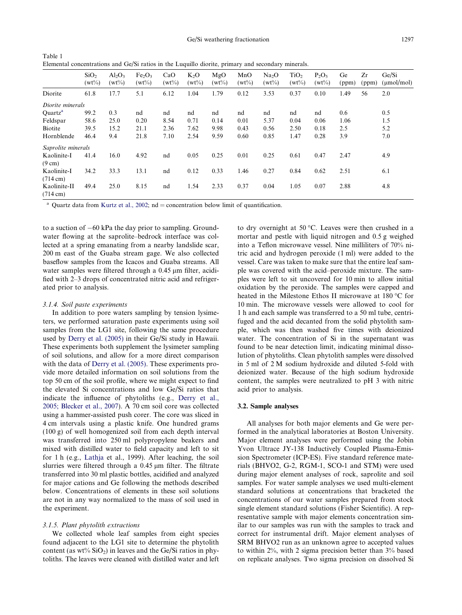<span id="page-3-0"></span>Table 1 Elemental concentrations and Ge/Si ratios in the Luquillo diorite, primary and secondary minerals.

|                                    | SiO <sub>2</sub><br>$(wt\%)$ | $Al_2O_3$<br>$(wt\%)$ | Fe <sub>2</sub> O <sub>3</sub><br>$(wt\%)$ | CaO<br>$(wt\%)$ | $K_2O$<br>$(wt\%)$ | MgO<br>$(wt\%)$ | MnO<br>$(wt\%)$ | Na <sub>2</sub> O<br>$(wt\%)$ | TiO <sub>2</sub><br>$(wt\%)$ | $P_2O_5$<br>$(wt\%)$ | Ge<br>(ppm) | Zr<br>(ppm) | Ge/Si<br>$(\mu \text{mol/mol})$ |
|------------------------------------|------------------------------|-----------------------|--------------------------------------------|-----------------|--------------------|-----------------|-----------------|-------------------------------|------------------------------|----------------------|-------------|-------------|---------------------------------|
| Diorite                            | 61.8                         | 17.7                  | 5.1                                        | 6.12            | 1.04               | 1.79            | 0.12            | 3.53                          | 0.37                         | 0.10                 | 1.49        | 56          | 2.0                             |
| Diorite minerals                   |                              |                       |                                            |                 |                    |                 |                 |                               |                              |                      |             |             |                                 |
| Quartz <sup>a</sup>                | 99.2                         | 0.3                   | nd                                         | nd              | nd                 | nd              | nd              | nd                            | nd                           | nd                   | 0.6         |             | 0.5                             |
| Feldspar                           | 58.6                         | 25.0                  | 0.20                                       | 8.54            | 0.71               | 0.14            | 0.01            | 5.37                          | 0.04                         | 0.06                 | 1.06        |             | 1.5                             |
| Biotite                            | 39.5                         | 15.2                  | 21.1                                       | 2.36            | 7.62               | 9.98            | 0.43            | 0.56                          | 2.50                         | 0.18                 | 2.5         |             | 5.2                             |
| Hornblende                         | 46.4                         | 9.4                   | 21.8                                       | 7.10            | 2.54               | 9.59            | 0.60            | 0.85                          | 1.47                         | 0.28                 | 3.9         |             | 7.0                             |
| Saprolite minerals                 |                              |                       |                                            |                 |                    |                 |                 |                               |                              |                      |             |             |                                 |
| Kaolinite-I<br>$(9 \text{ cm})$    | 41.4                         | 16.0                  | 4.92                                       | nd              | 0.05               | 0.25            | 0.01            | 0.25                          | 0.61                         | 0.47                 | 2.47        |             | 4.9                             |
| Kaolinite-I                        | 34.2                         | 33.3                  | 13.1                                       | nd              | 0.12               | 0.33            | 1.46            | 0.27                          | 0.84                         | 0.62                 | 2.51        |             | 6.1                             |
| $(714 \text{ cm})$                 |                              |                       |                                            |                 |                    |                 |                 |                               |                              |                      |             |             |                                 |
| Kaolinite-II<br>$(714 \text{ cm})$ | 49.4                         | 25.0                  | 8.15                                       | nd              | 1.54               | 2.33            | 0.37            | 0.04                          | 1.05                         | 0.07                 | 2.88        |             | 4.8                             |

<sup>a</sup> Quartz data from [Kurtz et al., 2002;](#page-13-0) nd = concentration below limit of quantification.

to a suction of  $-60$  kPa the day prior to sampling. Groundwater flowing at the saprolite–bedrock interface was collected at a spring emanating from a nearby landslide scar, 200 m east of the Guaba stream gage. We also collected baseflow samples from the Icacos and Guaba streams. All water samples were filtered through a  $0.45 \mu m$  filter, acidified with 2–3 drops of concentrated nitric acid and refrigerated prior to analysis.

# 3.1.4. Soil paste experiments

In addition to pore waters sampling by tension lysimeters, we performed saturation paste experiments using soil samples from the LG1 site, following the same procedure used by [Derry et al. \(2005\)](#page-13-0) in their Ge/Si study in Hawaii. These experiments both supplement the lysimeter sampling of soil solutions, and allow for a more direct comparison with the data of [Derry et al. \(2005\)](#page-13-0). These experiments provide more detailed information on soil solutions from the top 50 cm of the soil profile, where we might expect to find the elevated Si concentrations and low Ge/Si ratios that indicate the influence of phytoliths (e.g., [Derry et al.,](#page-13-0) [2005; Blecker et al., 2007\)](#page-13-0). A 70 cm soil core was collected using a hammer-assisted push corer. The core was sliced in 4 cm intervals using a plastic knife. One hundred grams (100 g) of well homogenized soil from each depth interval was transferred into 250 ml polypropylene beakers and mixed with distilled water to field capacity and left to sit for 1 h (e.g., [Lathja](#page-13-0) et al., 1999). After leaching, the soil slurries were filtered through a  $0.45 \mu m$  filter. The filtrate transferred into 30 ml plastic bottles, acidified and analyzed for major cations and Ge following the methods described below. Concentrations of elements in these soil solutions are not in any way normalized to the mass of soil used in the experiment.

# 3.1.5. Plant phytolith extractions

We collected whole leaf samples from eight species found adjacent to the LG1 site to determine the phytolith content (as wt%  $SiO<sub>2</sub>$ ) in leaves and the Ge/Si ratios in phytoliths. The leaves were cleaned with distilled water and left

to dry overnight at 50 °C. Leaves were then crushed in a mortar and pestle with liquid nitrogen and 0.5 g weighed into a Teflon microwave vessel. Nine milliliters of 70% nitric acid and hydrogen peroxide (1 ml) were added to the vessel. Care was taken to make sure that the entire leaf sample was covered with the acid–peroxide mixture. The samples were left to sit uncovered for 10 min to allow initial oxidation by the peroxide. The samples were capped and heated in the Milestone Ethos II microwave at  $180^{\circ}$ C for 10 min. The microwave vessels were allowed to cool for 1 h and each sample was transferred to a 50 ml tube, centrifuged and the acid decanted from the solid phytolith sample, which was then washed five times with deionized water. The concentration of Si in the supernatant was found to be near detection limit, indicating minimal dissolution of phytoliths. Clean phytolith samples were dissolved in 5 ml of 2 M sodium hydroxide and diluted 5-fold with deionized water. Because of the high sodium hydroxide content, the samples were neutralized to pH 3 with nitric acid prior to analysis.

# 3.2. Sample analyses

All analyses for both major elements and Ge were performed in the analytical laboratories at Boston University. Major element analyses were performed using the Jobin Yvon Ultrace JY-138 Inductively Coupled Plasma-Emission Spectrometer (ICP-ES). Five standard reference materials (BHVO2, G-2, RGM-1, SCO-1 and STM) were used during major element analyses of rock, saprolite and soil samples. For water sample analyses we used multi-element standard solutions at concentrations that bracketed the concentrations of our water samples prepared from stock single element standard solutions (Fisher Scientific). A representative sample with major elements concentration similar to our samples was run with the samples to track and correct for instrumental drift. Major element analyses of SRM BHVO2 run as an unknown agree to accepted values to within 2%, with 2 sigma precision better than 3% based on replicate analyses. Two sigma precision on dissolved Si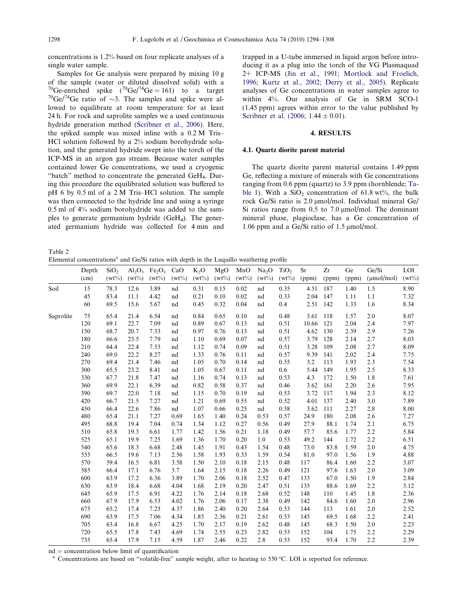<span id="page-4-0"></span>concentrations is 1.2% based on four replicate analyses of a single water sample.

Samples for Ge analysis were prepared by mixing 10 g of the sample (water or diluted dissolved solid) with a  ${}^{70}$ Ge-enriched spike  $({}^{70}$ Ge/<sup>74</sup>Ge = 161) to a target <sup>70</sup>Ge-enriched spike (<sup>70</sup>Ge/<sup>74</sup>Ge = 161) to a target <sup>70</sup>Ge/<sup>74</sup>Ge ratio of  $\sim$ 3. The samples and spike were allowed to equilibrate at room temperature for at least 24 h. For rock and saprolite samples we a used continuous hydride generation method ([Scribner et al., 2006](#page-13-0)). Here, the spiked sample was mixed inline with a 0.2 M Tris– HCl solution followed by a 2% sodium borohydride solution, and the generated hydride swept into the torch of the ICP-MS in an argon gas stream. Because water samples contained lower Ge concentrations, we used a cryogenic "batch" method to concentrate the generated GeH4. During this procedure the equilibrated solution was buffered to pH 6 by 0.5 ml of a 2 M Tris–HCl solution. The sample was then connected to the hydride line and using a syringe 0.5 ml of 4% sodium borohydride was added to the samples to generate germanium hydride (GeH4). The generated germanium hydride was collected for 4 min and

Table 2

Elemental concentrations<sup>a</sup> and  $\text{Ge/Si}$  ratios with depth in the Luquillo weathering profile

trapped in a U-tube immersed in liquid argon before introducing it as a plug into the torch of the VG Plasmaquad 2+ ICP-MS [\(Jin et al., 1991; Mortlock and Froelich,](#page-13-0) [1996; Kurtz et al., 2002; Derry et al., 2005\)](#page-13-0). Replicate analyses of Ge concentrations in water samples agree to within 4%. Our analysis of Ge in SRM SCO-1 (1.45 ppm) agrees within error to the value published by Scribner et al.  $(2006; 1.44 \pm 0.01)$ .

#### 4. RESULTS

#### 4.1. Quartz diorite parent material

The quartz diorite parent material contains 1.49 ppm Ge, reflecting a mixture of minerals with Ge concentrations ranging from 0.6 ppm (quartz) to 3.9 ppm (hornblende; [Ta](#page-3-0)[ble 1\)](#page-3-0). With a  $SiO<sub>2</sub>$  concentration of 61.8 wt%, the bulk rock Ge/Si ratio is 2.0 µmol/mol. Individual mineral Ge/ Si ratios range from  $0.5$  to  $7.0 \text{ \mu mol/mol}$ . The dominant mineral phase, plagioclase, has a Ge concentration of 1.06 ppm and a Ge/Si ratio of 1.5  $\mu$ mol/mol.

|           |               |                              |                       |                                            |                 |                    | л.              |                 | ັ້                            |                              |             |             |             |                          |                 |
|-----------|---------------|------------------------------|-----------------------|--------------------------------------------|-----------------|--------------------|-----------------|-----------------|-------------------------------|------------------------------|-------------|-------------|-------------|--------------------------|-----------------|
|           | Depth<br>(cm) | SiO <sub>2</sub><br>$(wt\%)$ | $Al_2O_3$<br>$(wt\%)$ | Fe <sub>2</sub> O <sub>3</sub><br>$(wt\%)$ | CaO<br>$(wt\%)$ | $K_2O$<br>$(wt\%)$ | MgO<br>$(wt\%)$ | MnO<br>$(wt\%)$ | Na <sub>2</sub> O<br>$(wt\%)$ | TiO <sub>2</sub><br>$(wt\%)$ | Sr<br>(ppm) | Zr<br>(ppm) | Ge<br>(ppm) | Ge/Si<br>$(\mu mol/mol)$ | LOI<br>$(wt\%)$ |
|           |               |                              |                       |                                            |                 |                    |                 |                 |                               |                              |             |             |             |                          |                 |
| Soil      | 15            | 78.3                         | 12.6                  | 3.89                                       | nd              | 0.31               | 0.15            | 0.02            | nd                            | 0.35                         | 4.51        | 187         | 1.40        | 1.5                      | 8.90            |
|           | 45<br>60      | 83.4                         | 11.1                  | 4.42                                       | nd              | 0.21               | 0.10            | 0.02            | nd                            | 0.33                         | 2.04        | 147         | 1.11        | 1.1                      | 7.32            |
|           |               | 69.5                         | 15.6                  | 5.67                                       | nd              | 0.45               | 0.32            | 0.04            | nd                            | 0.4                          | 2.51        | 142         | 1.33        | 1.6                      | 8.34            |
| Saprolite | 75            | 65.4                         | 21.4                  | 6.54                                       | nd              | 0.84               | 0.65            | 0.10            | nd                            | 0.48                         | 3.61        | 118         | 1.57        | 2.0                      | 8.07            |
|           | 120           | 69.1                         | 22.7                  | 7.09                                       | nd              | 0.89               | 0.67            | 0.13            | nd                            | 0.51                         | 10.66       | 121         | 2.04        | 2.4                      | 7.97            |
|           | 150           | 68.7                         | 20.7                  | 7.33                                       | nd              | 0.97               | 0.76            | 0.13            | nd                            | 0.51                         | 4.62        | 130         | 2.39        | 2.9                      | 7.26            |
|           | 180           | 66.6                         | 23.5                  | 7.79                                       | nd              | 1.10               | 0.69            | 0.07            | nd                            | 0.57                         | 3.79        | 128         | 2.14        | 2.7                      | 8.03            |
|           | 210           | 64.4                         | 22.4                  | 7.53                                       | nd              | 1.12               | 0.74            | 0.09            | nd                            | 0.51                         | 3.28        | 109         | 2.08        | 2.7                      | 8.09            |
|           | 240           | 69.0                         | 22.2                  | 8.27                                       | nd              | 1.33               | 0.76            | 0.11            | nd                            | 0.57                         | 9.39        | 141         | 2.02        | 2.4                      | 7.75            |
|           | 270           | 69.4                         | 21.4                  | 7.46                                       | nd              | 1.05               | 0.70            | 0.14            | nd                            | 0.55                         | 3.2         | 113         | 1.93        | 2.3                      | 7.54            |
|           | 300           | 65.5                         | 23.2                  | 8.41                                       | nd              | 1.05               | 0.67            | 0.11            | nd                            | 0.6                          | 5.44        | 149         | 1.95        | 2.5                      | 8.33            |
|           | 330           | 67.7                         | 21.8                  | 7.47                                       | nd              | 1.16               | 0.74            | 0.13            | nd                            | 0.53                         | 4.3         | 172         | 1.50        | 1.8                      | 7.61            |
|           | 360           | 69.9                         | 22.1                  | 6.39                                       | nd              | 0.82               | 0.58            | 0.37            | nd                            | 0.46                         | 3.62        | 161         | 2.20        | 2.6                      | 7.95            |
|           | 390           | 69.7                         | 22.0                  | 7.18                                       | nd              | 1.15               | 0.70            | 0.19            | nd                            | 0.53                         | 3.72        | 117         | 1.94        | 2.3                      | 8.12            |
|           | 420           | 66.7                         | 21.5                  | 7.27                                       | nd              | 1.21               | 0.69            | 0.55            | nd                            | 0.52                         | 4.01        | 137         | 2.40        | 3.0                      | 7.89            |
|           | 450           | 66.4                         | 22.6                  | 7.86                                       | nd              | 1.07               | 0.66            | 0.25            | $^{\rm nd}$                   | 0.58                         | 3.62        | 111         | 2.27        | 2.8                      | 8.00            |
|           | 480           | 65.4                         | 21.1                  | 7.27                                       | 0.69            | 1.65               | 1.40            | 0.24            | 0.53                          | 0.57                         | 24.9        | 180         | 2.08        | 2.6                      | 7.27            |
|           | 495           | 68.8                         | 19.4                  | 7.04                                       | 0.74            | 1.34               | 1.12            | 0.27            | 0.56                          | 0.49                         | 27.9        | 88.1        | 1.74        | 2.1                      | 6.75            |
|           | 510           | 65.8                         | 19.3                  | 6.61                                       | 1.77            | 1.42               | 1.56            | 0.21            | 1.18                          | 0.49                         | 57.7        | 85.6        | 1.77        | 2.2                      | 5.84            |
|           | 525           | 65.1                         | 19.9                  | 7.25                                       | 1.69            | 1.36               | 1.70            | 0.20            | 1.0                           | 0.53                         | 49.2        | 144         | 1.72        | 2.2                      | 6.51            |
|           | 540           | 65.6                         | 18.3                  | 6.68                                       | 2.48            | 1.45               | 1.91            | 0.43            | 1.54                          | 0.48                         | 73.0        | 83.8        | 1.59        | $2.0\,$                  | 4.75            |
|           | 555           | 66.5                         | 19.6                  | 7.13                                       | 2.56            | 1.58               | 1.93            | 0.33            | 1.59                          | 0.54                         | 81.0        | 97.0        | 1.56        | 1.9                      | 4.88            |
|           | 570           | 59.4                         | 16.5                  | 6.81                                       | 3.58            | 1.50               | 2.10            | 0.18            | 2.15                          | 0.48                         | 117         | 86.4        | 1.60        | 2.2                      | 3.07            |
|           | 585           | 66.4                         | 17.1                  | 6.76                                       | 3.7             | 1.64               | 2.15            | 0.18            | 2.26                          | 0.49                         | 121         | 97.6        | 1.63        | 2.0                      | 3.09            |
|           | 600           | 63.9                         | 17.2                  | 6.36                                       | 3.89            | 1.70               | 2.06            | 0.18            | 2.52                          | 0.47                         | 133         | 67.0        | 1.50        | 1.9                      | 2.84            |
|           | 630           | 63.9                         | 18.4                  | 6.68                                       | 4.04            | 1.68               | 2.19            | 0.20            | 2.47                          | 0.51                         | 135         | 88.6        | 1.69        | 2.2                      | 3.12            |
|           | 645           | 65.9                         | 17.5                  | 6.91                                       | 4.22            | 1.76               | 2.14            | 0.18            | 2.68                          | 0.52                         | 148         | 110         | 1.45        | 1.8                      | 2.36            |
|           | 660           | 67.9                         | 17.9                  | 6.53                                       | 4.02            | 1.76               | 2.06            | 0.17            | 2.38                          | 0.49                         | 142         | 84.6        | 1.60        | $2.0\,$                  | 2.96            |
|           | 675           | 65.2                         | 17.4                  | 7.23                                       | 4.37            | 1.86               | 2.40            | 0.20            | 2.64                          | 0.53                         | 144         | 113         | 1.61        | $2.0\,$                  | 2.52            |
|           | 690           | 63.9                         | 17.5                  | 7.06                                       | 4.34            | 1.85               | 2.36            | 0.21            | 2.61                          | 0.53                         | 145         | 69.5        | 1.68        | 2.2                      | 2.41            |
|           | 705           | 63.4                         | 16.8                  | 6.67                                       | 4.25            | 1.70               | 2.17            | 0.19            | 2.62                          | 0.48                         | 145         | 68.3        | 1.50        | $2.0\,$                  | 2.23            |
|           | 720           | 65.5                         | 17.8                  | 7.43                                       | 4.69            | 1.74               | 2.55            | 0.23            | 2.82                          | 0.53                         | 152         | 104         | 1.75        | 2.2                      | 2.29            |
|           | 735           | 65.4                         | 17.9                  | 7.15                                       | 4.59            | 1.87               | 2.46            | 0.22            | 2.8                           | 0.53                         | 152         | 93.4        | 1.70        | 2.2                      | 2.39            |

 $nd = concentration$  below limit of quantification

 $^{\rm a}$  Concentrations are based on "volatile-free" sample weight, after to heating to 550 °C. LOI is reported for reference.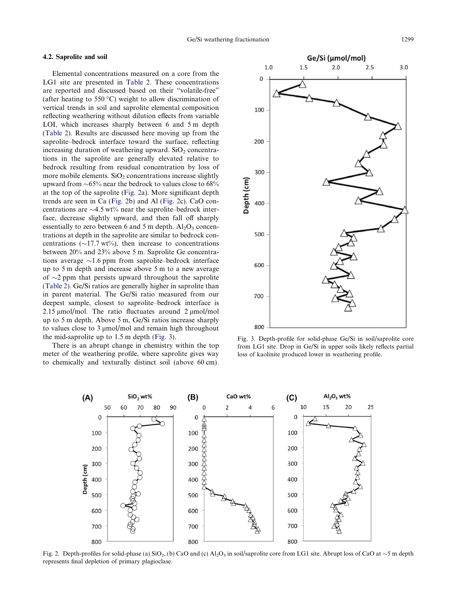## <span id="page-5-0"></span>4.2. Saprolite and soil

Elemental concentrations measured on a core from the LG1 site are presented in [Table 2](#page-4-0). These concentrations are reported and discussed based on their "volatile-free" (after heating to 550 °C) weight to allow discrimination of vertical trends in soil and saprolite elemental composition reflecting weathering without dilution effects from variable LOI, which increases sharply between 6 and 5 m depth [\(Table 2\)](#page-4-0). Results are discussed here moving up from the saprolite–bedrock interface toward the surface, reflecting increasing duration of weathering upward.  $SiO<sub>2</sub>$  concentrations in the saprolite are generally elevated relative to bedrock resulting from residual concentration by loss of more mobile elements.  $SiO<sub>2</sub>$  concentrations increase slightly upward from  $\sim$ 65% near the bedrock to values close to 68% at the top of the saprolite (Fig. 2a). More significant depth trends are seen in Ca (Fig. 2b) and Al (Fig. 2c). CaO concentrations are  $\sim$  4.5 wt% near the saprolite–bedrock interface, decrease slightly upward, and then fall off sharply essentially to zero between 6 and 5 m depth.  $Al_2O_3$  concentrations at depth in the saprolite are similar to bedrock concentrations ( $\sim$ 17.7 wt%), then increase to concentrations between 20% and 23% above 5 m. Saprolite Ge concentrations average  $\sim$ 1.6 ppm from saprolite–bedrock interface up to 5 m depth and increase above 5 m to a new average of  $\sim$ 2 ppm that persists upward throughout the saprolite [\(Table 2\)](#page-4-0). Ge/Si ratios are generally higher in saprolite than in parent material. The Ge/Si ratio measured from our deepest sample, closest to saprolite–bedrock interface is 2.15  $\mu$ mol/mol. The ratio fluctuates around 2  $\mu$ mol/mol up to 5 m depth. Above 5 m, Ge/Si ratios increase sharply to values close to  $3 \mu$ mol/mol and remain high throughout the mid-saprolite up to 1.5 m depth (Fig. 3).

There is an abrupt change in chemistry within the top meter of the weathering profile, where saprolite gives way to chemically and texturally distinct soil (above 60 cm).



Fig. 3. Depth-profile for solid-phase Ge/Si in soil/saprolite core from LG1 site. Drop in Ge/Si in upper soils likely reflects partial loss of kaolinite produced lower in weathering profile.



Fig. 2. Depth-profiles for solid-phase (a)  $SiO_2$ , (b) CaO and (c)  $Al_2O_3$  in soil/saprolite core from LG1 site. Abrupt loss of CaO at  $\sim$ 5 m depth represents final depletion of primary plagioclase.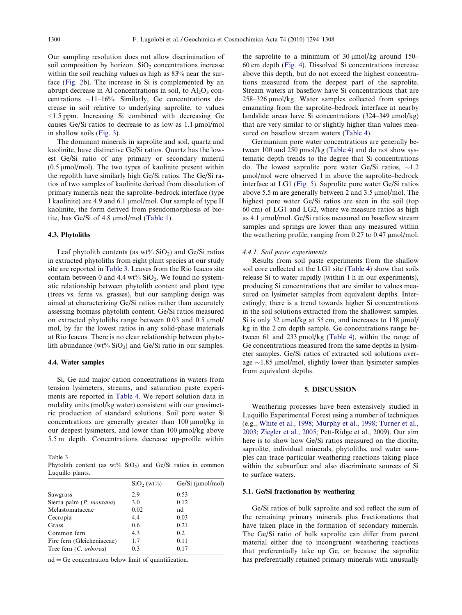<span id="page-6-0"></span>Our sampling resolution does not allow discrimination of soil composition by horizon.  $SiO<sub>2</sub>$  concentrations increase within the soil reaching values as high as 83% near the surface ([Fig. 2b](#page-5-0)). The increase in Si is complemented by an abrupt decrease in Al concentrations in soil, to  $Al_2O_3$  concentrations  $\sim$ 11–16%. Similarly, Ge concentrations decrease in soil relative to underlying saprolite, to values <1.5 ppm. Increasing Si combined with decreasing Ge causes Ge/Si ratios to decrease to as low as  $1.1 \mu$ mol/mol in shallow soils ([Fig. 3\)](#page-5-0).

The dominant minerals in saprolite and soil, quartz and kaolinite, have distinctive Ge/Si ratios. Quartz has the lowest Ge/Si ratio of any primary or secondary mineral  $(0.5 \mu \text{mol/mol})$ . The two types of kaolinite present within the regolith have similarly high Ge/Si ratios. The Ge/Si ratios of two samples of kaolinite derived from dissolution of primary minerals near the saprolite–bedrock interface (type I kaolinite) are 4.9 and 6.1 µmol/mol. Our sample of type II kaolinite, the form derived from pseudomorphosis of biotite, has Ge/Si of  $4.8 \mu$ mol/mol ([Table 1\)](#page-3-0).

#### 4.3. Phytoliths

Leaf phytolith contents (as  $wt\%$  SiO<sub>2</sub>) and Ge/Si ratios in extracted phytoliths from eight plant species at our study site are reported in Table 3. Leaves from the Rio Icacos site contain between 0 and 4.4 wt%  $SiO<sub>2</sub>$ . We found no systematic relationship between phytolith content and plant type (trees vs. ferns vs. grasses), but our sampling design was aimed at characterizing Ge/Si ratios rather than accurately assessing biomass phytolith content. Ge/Si ratios measured on extracted phytoliths range between  $0.03$  and  $0.5 \mu$ mol/ mol, by far the lowest ratios in any solid-phase materials at Rio Icacos. There is no clear relationship between phytolith abundance (wt%  $SiO<sub>2</sub>$ ) and Ge/Si ratio in our samples.

#### 4.4. Water samples

Si, Ge and major cation concentrations in waters from tension lysimeters, streams, and saturation paste experiments are reported in [Table 4.](#page-7-0) We report solution data in molality units (mol/kg water) consistent with our gravimetric production of standard solutions. Soil pore water Si concentrations are generally greater than  $100 \mu$ mol/kg in our deepest lysimeters, and lower than 100  $\mu$ mol/kg above 5.5 m depth. Concentrations decrease up-profile within

Phytolith content (as  $wt\%$  SiO<sub>2</sub>) and Ge/Si ratios in common Luquillo plants.

|                            | SiO <sub>2</sub> (wt <sub>2</sub> ) | $Ge/Si$ ( $\mu$ mol/mol) |
|----------------------------|-------------------------------------|--------------------------|
| Sawgrass                   | 2.9                                 | 0.53                     |
| Sierra palm (P. montana)   | 3.0                                 | 0.12                     |
| Melastomataceae            | 0.02                                | nd                       |
| Cecropia                   | 4.4                                 | 0.03                     |
| Grass                      | 0.6                                 | 0.21                     |
| Common fern                | 4.3                                 | 0.2                      |
| Fire fern (Gleicheniaceae) | 1.7                                 | 0.11                     |
| Tree fern (C. arborea)     | 0.3                                 | 0.17                     |

 $nd = Ge$  concentration below limit of quantification.

the saprolite to a minimum of 30  $\mu$ mol/kg around 150– 60 cm depth ([Fig. 4\)](#page-8-0). Dissolved Si concentrations increase above this depth, but do not exceed the highest concentrations measured from the deepest part of the saprolite. Stream waters at baseflow have Si concentrations that are 258–326 µmol/kg. Water samples collected from springs emanating from the saprolite–bedrock interface at nearby landslide areas have Si concentrations  $(324-349 \text{ µmol/kg})$ that are very similar to or slightly higher than values measured on baseflow stream waters ([Table 4](#page-7-0)).

Germanium pore water concentrations are generally between 100 and 250 pmol/kg [\(Table 4\)](#page-7-0) and do not show systematic depth trends to the degree that Si concentrations do. The lowest saprolite pore water Ge/Si ratios,  $\sim$ 1.2 lmol/mol were observed 1 m above the saprolite–bedrock interface at LG1 [\(Fig. 5\)](#page-8-0). Saprolite pore water Ge/Si ratios above 5.5 m are generally between 2 and 3.5  $\mu$ mol/mol. The highest pore water Ge/Si ratios are seen in the soil (top 60 cm) of LG1 and LG2, where we measure ratios as high as 4.1 µmol/mol. Ge/Si ratios measured on baseflow stream samples and springs are lower than any measured within the weathering profile, ranging from  $0.27$  to  $0.47 \mu$ mol/mol.

# 4.4.1. Soil paste experiments

Results from soil paste experiments from the shallow soil core collected at the LG1 site ([Table 4\)](#page-7-0) show that soils release Si to water rapidly (within 1 h in our experiments), producing Si concentrations that are similar to values measured on lysimeter samples from equivalent depths. Interestingly, there is a trend towards higher Si concentrations in the soil solutions extracted from the shallowest samples. Si is only 32  $\mu$ mol/kg at 55 cm, and increases to 138  $\mu$ mol/ kg in the 2 cm depth sample. Ge concentrations range between 61 and 233 pmol/kg [\(Table 4](#page-7-0)), within the range of Ge concentrations measured from the same depths in lysimeter samples. Ge/Si ratios of extracted soil solutions average  $\sim$ 1.85 µmol/mol, slightly lower than lysimeter samples from equivalent depths.

# 5. DISCUSSION

Weathering processes have been extensively studied in Luquillo Experimental Forest using a number of techniques (e.g., [White et al., 1998; Murphy et al., 1998; Turner et al.,](#page-14-0) [2003; Ziegler et al., 2005;](#page-14-0) Pett-Ridge et al., 2009). Our aim here is to show how Ge/Si ratios measured on the diorite, saprolite, individual minerals, phytoliths, and water samples can trace particular weathering reactions taking place within the subsurface and also discriminate sources of Si to surface waters.

#### 5.1. Ge/Si fractionation by weathering

Ge/Si ratios of bulk saprolite and soil reflect the sum of the remaining primary minerals plus fractionations that have taken place in the formation of secondary minerals. The Ge/Si ratio of bulk saprolite can differ from parent material either due to incongruent weathering reactions that preferentially take up Ge, or because the saprolite has preferentially retained primary minerals with unusually

Table 3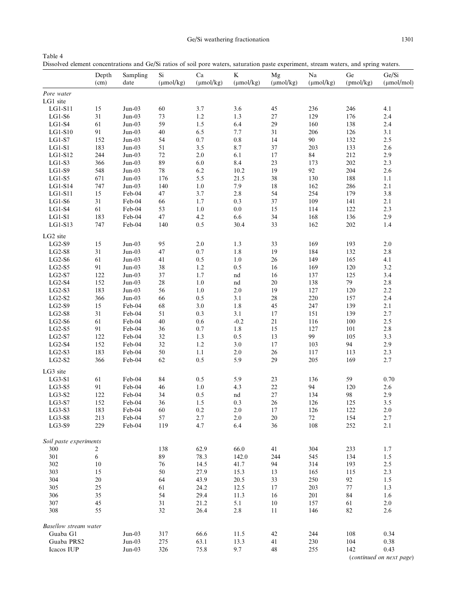Ge/Si weathering fractionation 1301

<span id="page-7-0"></span>Table 4 Dissolved element concentrations and Ge/Si ratios of soil pore waters, saturation paste experiment, stream waters, and spring waters.

|                              | Depth<br>(cm) | Sampling<br>date     | Si<br>$(\mu mol/kg)$ | $\rm Ca$<br>$(\mu \text{mol/kg})$ | K<br>$(\mu \text{mol/kg})$ | Mg<br>$(\mu mol/kg)$ | Na<br>$(\mu mol/kg)$ | $\rm Ge$<br>(pmol/kg) | Ge/Si<br>$(\mu mol/mol)$ |
|------------------------------|---------------|----------------------|----------------------|-----------------------------------|----------------------------|----------------------|----------------------|-----------------------|--------------------------|
| Pore water                   |               |                      |                      |                                   |                            |                      |                      |                       |                          |
| LG1 site                     |               |                      |                      |                                   |                            |                      |                      |                       |                          |
| LG1-S11                      | 15            | $Jun-03$             | 60                   | 3.7                               | 3.6                        | 45                   | 236                  | 246                   | 4.1                      |
| $LG1-S6$                     | 31            | $Jun-03$             | 73                   | $1.2\,$                           | 1.3                        | $27\,$               | 129                  | 176                   | 2.4                      |
| $LG1-S4$                     | 61            | $Jun-03$             | 59                   | 1.5                               | 6.4                        | 29                   | 160                  | 138                   | 2.4                      |
| $LG1-S10$                    | 91            | $Jun-03$             | $40\,$               | 6.5                               | 7.7                        | 31                   | 206                  | 126                   | $3.1$                    |
| $LG1-S7$                     | 152           | $Jun-03$             | 54                   | $0.7\,$                           | $\rm 0.8$                  | 14                   | 90                   | 132                   | 2.5                      |
| $LG1-S1$                     | 183           | $Jun-03$             | 51                   | 3.5                               | $8.7\,$                    | 37                   | 203                  | 133                   | 2.6                      |
| LG1-S12                      | 244           | $Jun-03$             | $72\,$               | 2.0                               | $6.1\,$                    | 17                   | $\bf 84$             | 212                   | 2.9                      |
| $LG1-S3$                     | 366           | $Jun-03$             | 89                   | 6.0                               | 8.4                        | 23                   | 173                  | 202                   | 2.3                      |
| LG1-S9                       | 548           | $Jun-03$             | $78\,$               | 6.2                               | 10.2                       | 19                   | 92                   | 204                   | $2.6\,$                  |
| $LG1-S5$                     | 671           | $Jun-03$             | 176                  | 5.5                               | 21.5                       | $38\,$               | 130                  | 188                   | $1.1\,$                  |
| $LG1-S14$                    | 747           | $Jun-03$             | 140                  | $1.0\,$                           | 7.9                        | 18                   | 162                  | 286                   | 2.1                      |
| LG1-S11                      | $15\,$        | Feb-04               | 47                   | 3.7                               | $2.8\,$                    | 54                   | 254                  | 179                   | 3.8                      |
| $LG1-S6$                     | 31            | Feb-04               | 66                   | 1.7                               | 0.3                        | 37                   | 109                  | 141                   | 2.1                      |
| $LG1-S4$                     | 61            | Feb-04               | 53                   | 1.0                               | $0.0\,$                    | 15                   | 114                  | 122                   | 2.3                      |
| $LG1-S1$                     | 183           | Feb-04               | $47\,$               | 4.2                               | 6.6                        | 34                   | 168                  | 136                   | 2.9                      |
| $LG1-S13$                    | 747           | Feb-04               | 140                  | 0.5                               | 30.4                       | 33                   | 162                  | 202                   | $1.4\,$                  |
| LG2 site                     |               |                      |                      |                                   |                            |                      |                      |                       |                          |
|                              |               | $Jun-03$             |                      | 2.0                               |                            |                      | 169                  | 193                   | $2.0\,$                  |
| $LG2-S9$                     | 15<br>$31\,$  | $Jun-03$             | 95                   | $0.7\,$                           | 1.3<br>1.8                 | 33<br>19             | 184                  | 132                   | $2.8\,$                  |
| $LG2-S8$                     |               |                      | 47                   |                                   |                            |                      |                      |                       |                          |
| $_{\rm LG2-S6}$              | 61            | $Jun-03$             | 41                   | 0.5                               | $1.0\,$                    | $26\,$               | 149                  | 165                   | 4.1                      |
| $LG2-S5$                     | 91            | $Jun-03$<br>$Jun-03$ | 38                   | 1.2                               | 0.5                        | 16                   | 169                  | 120                   | 3.2                      |
| $LG2-S7$                     | 122           |                      | $37\,$               | 1.7                               | nd                         | 16                   | 137                  | 125                   | 3.4                      |
| $LG2-S4$                     | 152           | $Jun-03$             | $28\,$               | 1.0                               | nd                         | $20\,$               | 138                  | 79                    | $2.8\,$                  |
| $LG2-S3$                     | 183           | $Jun-03$             | 56                   | 1.0                               | $2.0\,$                    | 19                   | 127                  | 120                   | $2.2\,$                  |
| $LG2-S2$                     | 366           | $Jun-03$             | 66                   | $0.5\,$                           | 3.1                        | $28\,$               | 220                  | 157                   | 2.4                      |
| $LG2-S9$                     | 15            | Feb-04               | 68                   | $3.0\,$                           | 1.8                        | 45                   | 247                  | 139                   | 2.1                      |
| $LG2-S8$                     | 31            | Feb-04               | 51                   | 0.3                               | $3.1$                      | 17                   | 151                  | 139                   | 2.7                      |
| $LG2-S6$                     | 61            | Feb-04               | $40\,$               | $0.6\,$                           | $-0.2$                     | 21                   | 116                  | 100                   | 2.5                      |
| $LG2-S5$                     | 91            | Feb-04               | 36                   | 0.7                               | 1.8                        | 15                   | 127                  | 101                   | $2.8\,$                  |
| $LG2-S7$                     | 122           | Feb-04               | 32                   | 1.3                               | 0.5                        | 13                   | 99                   | 105                   | 3.3                      |
| $LG2-S4$                     | 152           | Feb-04               | $32\,$               | $1.2\,$                           | 3.0                        | 17                   | 103                  | 94                    | 2.9                      |
| $LG2-S3$                     | 183           | Feb-04               | $50\,$               | $1.1\,$                           | $2.0\,$                    | $26\,$               | 117                  | 113                   | 2.3                      |
| $LG2-S2$                     | 366           | Feb-04               | 62                   | 0.5                               | 5.9                        | 29                   | 205                  | 169                   | 2.7                      |
| LG3 site                     |               |                      |                      |                                   |                            |                      |                      |                       |                          |
| $LG3-S1$                     | 61            | Feb-04               | 84                   | 0.5                               | 5.9                        | 23                   | 136                  | 59                    | 0.70                     |
| $LG3-S5$                     | 91            | Feb-04               | 46                   | $1.0\,$                           | 4.3                        | $22\,$               | 94                   | 120                   | $2.6\,$                  |
| $LG3-S2$                     | 122           | Feb-04               | 34                   | 0.5                               | nd                         | $27\,$               | 134                  | 98                    | 2.9                      |
| $LG3-S7$                     | 152           | Feb-04               | 36                   | 1.5                               | 0.3                        | 26                   | 126                  | 125                   | 3.5                      |
| $LG3-S3$                     | 183           | Feb-04               | 60                   | 0.2                               | $2.0\,$                    | 17                   | 126                  | 122                   | $2.0\,$                  |
| $_{\rm LG3-S8}$              | 213           | Feb-04               | 57                   | $2.7\,$                           | $2.0\,$                    | $20\,$               | $72\,$               | 154                   | $2.7\,$                  |
| $_{\rm LG3-S9}$              | 229           | Feb-04               | 119                  | 4.7                               | 6.4                        | 36                   | 108                  | 252                   | 2.1                      |
|                              |               |                      |                      |                                   |                            |                      |                      |                       |                          |
| Soil paste experiments       |               |                      |                      |                                   |                            |                      |                      |                       |                          |
| 300                          | 2             |                      | 138                  | 62.9                              | 66.0                       | 41                   | 304                  | 233                   | 1.7                      |
| 301                          | $\sqrt{6}$    |                      | 89                   | 78.3                              | 142.0                      | 244                  | 545                  | 134                   | 1.5                      |
| 302                          | 10            |                      | 76                   | 14.5                              | 41.7                       | 94                   | 314                  | 193                   | 2.5                      |
| 303                          | 15            |                      | 50                   | 27.9                              | 15.3                       | 13                   | 165                  | 115                   | 2.3                      |
| 304                          | 20            |                      | 64                   | 43.9                              | 20.5                       | 33                   | 250                  | 92                    | 1.5                      |
| 305                          | 25            |                      | 61                   | 24.2                              | 12.5                       | 17                   | 203                  | $77\,$                | 1.3                      |
| 306                          | 35            |                      | 54                   | 29.4                              | 11.3                       | 16                   | 201                  | 84                    | 1.6                      |
| 307                          | 45            |                      | 31                   | 21.2                              | 5.1                        | $10\,$               | 157                  | 61                    | 2.0                      |
| 308                          | 55            |                      | $32\,$               | 26.4                              | $2.8\,$                    | 11                   | 146                  | $82\,$                | $2.6\,$                  |
| <b>Basellow stream water</b> |               |                      |                      |                                   |                            |                      |                      |                       |                          |
| Guaba G1                     |               | $Jun-03$             | 317                  | 66.6                              | 11.5                       | 42                   | 244                  | 108                   | 0.34                     |
| Guaba PRS2                   |               | $Jun-03$             | 275                  | 63.1                              | 13.3                       | 41                   | 230                  | 104                   | 0.38                     |
| Icacos IUP                   |               | $Jun-03$             | 326                  | 75.8                              | 9.7                        | 48                   | 255                  | 142                   | 0.43                     |
|                              |               |                      |                      |                                   |                            |                      |                      |                       |                          |

(continued on next page)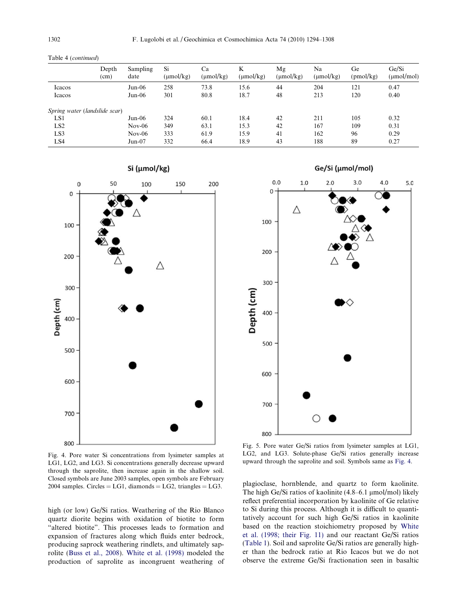| Ge<br>$(\mu \text{mol/kg})$<br>(pmol/kg) | Ge/Si<br>$(\mu mol/mol)$ |
|------------------------------------------|--------------------------|
| 121                                      | 0.47                     |
| 120                                      | 0.40                     |
|                                          |                          |
| 105                                      | 0.32                     |
| 109                                      | 0.31                     |
| 96                                       | 0.29                     |
| 89                                       | 0.27                     |
|                                          |                          |

<span id="page-8-0"></span>Table 4 (continued)



Si (µmol/kg)

Fig. 4. Pore water Si concentrations from lysimeter samples at LG1, LG2, and LG3. Si concentrations generally decrease upward through the saprolite, then increase again in the shallow soil. Closed symbols are June 2003 samples, open symbols are February 2004 samples. Circles =  $LG1$ , diamonds =  $LG2$ , triangles =  $LG3$ .

high (or low) Ge/Si ratios. Weathering of the Rio Blanco quartz diorite begins with oxidation of biotite to form "altered biotite". This processes leads to formation and expansion of fractures along which fluids enter bedrock, producing saprock weathering rindlets, and ultimately saprolite ([Buss et al., 2008\)](#page-13-0). [White et al. \(1998\)](#page-14-0) modeled the production of saprolite as incongruent weathering of

 $0.0$  $1.0$  $2.0$  $3.0$  $4.0$  $5.0$  $\mathbf 0$ Δ 100 200 300 Depth (cm) 400 500 600 700 800

Ge/Si (µmol/mol)

Fig. 5. Pore water Ge/Si ratios from lysimeter samples at LG1, LG2, and LG3. Solute-phase Ge/Si ratios generally increase upward through the saprolite and soil. Symbols same as Fig. 4.

plagioclase, hornblende, and quartz to form kaolinite. The high Ge/Si ratios of kaolinite  $(4.8-6.1 \text{ \mu mol/mol})$  likely reflect preferential incorporation by kaolinite of Ge relative to Si during this process. Although it is difficult to quantitatively account for such high Ge/Si ratios in kaolinite based on the reaction stoichiometry proposed by [White](#page-14-0) [et al. \(1998; their Fig. 11\)](#page-14-0) and our reactant Ge/Si ratios ([Table 1](#page-3-0)). Soil and saprolite Ge/Si ratios are generally higher than the bedrock ratio at Rio Icacos but we do not observe the extreme Ge/Si fractionation seen in basaltic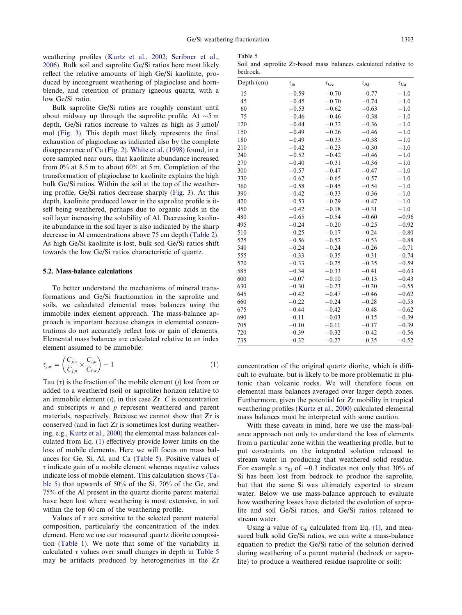<span id="page-9-0"></span>weathering profiles ([Kurtz et al., 2002; Scribner et al.,](#page-13-0) [2006](#page-13-0)). Bulk soil and saprolite Ge/Si ratios here most likely reflect the relative amounts of high Ge/Si kaolinite, produced by incongruent weathering of plagioclase and hornblende, and retention of primary igneous quartz, with a low Ge/Si ratio.

Bulk saprolite Ge/Si ratios are roughly constant until about midway up through the saprolite profile. At  $\sim$ 5 m depth, Ge/Si ratios increase to values as high as  $3 \mu$ mol/ mol [\(Fig. 3](#page-5-0)). This depth most likely represents the final exhaustion of plagioclase as indicated also by the complete disappearance of Ca [\(Fig. 2](#page-5-0)). [White et al. \(1998\)](#page-14-0) found, in a core sampled near ours, that kaolinite abundance increased from 0% at 8.5 m to about 60% at 5 m. Completion of the transformation of plagioclase to kaolinite explains the high bulk Ge/Si ratios. Within the soil at the top of the weathering profile, Ge/Si ratios decrease sharply ([Fig. 3](#page-5-0)). At this depth, kaolinite produced lower in the saprolite profile is itself being weathered, perhaps due to organic acids in the soil layer increasing the solubility of Al. Decreasing kaolinite abundance in the soil layer is also indicated by the sharp decrease in Al concentrations above 75 cm depth [\(Table 2\)](#page-4-0). As high Ge/Si kaolinite is lost, bulk soil Ge/Si ratios shift towards the low Ge/Si ratios characteristic of quartz.

# 5.2. Mass-balance calculations

To better understand the mechanisms of mineral transformations and Ge/Si fractionation in the saprolite and soils, we calculated elemental mass balances using the immobile index element approach. The mass-balance approach is important because changes in elemental concentrations do not accurately reflect loss or gain of elements. Elemental mass balances are calculated relative to an index element assumed to be immobile:

$$
\tau_{j,w} = \left(\frac{C_{j,w}}{C_{j,p}} \times \frac{C_{i,p}}{C_{i,w}}\right) - 1
$$
\n(1)

Tau  $(\tau)$  is the fraction of the mobile element (j) lost from or added to a weathered (soil or saprolite) horizon relative to an immobile element  $(i)$ , in this case  $Zr$ . C is concentration and subscripts w and p represent weathered and parent materials, respectively. Because we cannot show that Zr is conserved (and in fact Zr is sometimes lost during weathering, e.g., [Kurtz et al., 2000](#page-13-0)) the elemental mass balances calculated from Eq. (1) effectively provide lower limits on the loss of mobile elements. Here we will focus on mass balances for Ge, Si, Al, and Ca (Table 5). Positive values of  $\tau$  indicate gain of a mobile element whereas negative values indicate loss of mobile element. This calculation shows (Table 5) that upwards of 50% of the Si, 70% of the Ge, and 75% of the Al present in the quartz diorite parent material have been lost where weathering is most extensive, in soil within the top 60 cm of the weathering profile.

Values of  $\tau$  are sensitive to the selected parent material composition, particularly the concentration of the index element. Here we use our measured quartz diorite composition [\(Table 1](#page-3-0)). We note that some of the variability in calculated  $\tau$  values over small changes in depth in Table 5 may be artifacts produced by heterogeneities in the Zr

Table 5 Soil and saprolite Zr-based mass balances calculated relative to bedrock.

| Depth (cm) | $\tau_{\mathrm{Si}}$ | $\tau_{\rm Ge}$ | $\tau_{Al}$ | $\tau_{\rm Ca}$ |
|------------|----------------------|-----------------|-------------|-----------------|
| 15         | $-0.59$              | $-0.70$         | $-0.77$     | $-1.0$          |
| 45         | $-0.45$              | $-0.70$         | $-0.74$     | $-1.0$          |
| 60         | $-0.53$              | $-0.62$         | $-0.63$     | $-1.0$          |
| 75         | $-0.46$              | $-0.46$         | $-0.38$     | $-1.0$          |
| 120        | $-0.44$              | $-0.32$         | $-0.36$     | $-1.0$          |
| 150        | $-0.49$              | $-0.26$         | $-0.46$     | $-1.0$          |
| 180        | $-0.49$              | $-0.33$         | $-0.38$     | $-1.0$          |
| 210        | $-0.42$              | $-0.23$         | $-0.30$     | $-1.0$          |
| 240        | $-0.52$              | $-0.42$         | $-0.46$     | $-1.0$          |
| 270        | $-0.40$              | $-0.31$         | $-0.36$     | $^{-1.0}$       |
| 300        | $-0.57$              | $-0.47$         | $-0.47$     | $-1.0$          |
| 330        | $-0.62$              | $-0.65$         | $-0.57$     | $-1.0$          |
| 360        | $-0.58$              | $-0.45$         | $-0.54$     | $-1.0$          |
| 390        | $-0.42$              | $-0.33$         | $-0.36$     | $-1.0$          |
| 420        | $-0.53$              | $-0.29$         | $-0.47$     | $-1.0$          |
| 450        | $-0.42$              | $-0.18$         | $-0.31$     | $-1.0$          |
| 480        | $-0.65$              | $-0.54$         | $-0.60$     | $-0.96$         |
| 495        | $-0.24$              | $-0.20$         | $-0.25$     | $-0.92$         |
| 510        | $-0.25$              | $-0.17$         | $-0.24$     | $-0.80$         |
| 525        | $-0.56$              | $-0.52$         | $-0.53$     | $-0.88$         |
| 540        | $-0.24$              | $-0.24$         | $-0.26$     | $-0.71$         |
| 555        | $-0.33$              | $-0.35$         | $-0.31$     | $-0.74$         |
| 570        | $-0.33$              | $-0.25$         | $-0.35$     | $-0.59$         |
| 585        | $-0.34$              | $-0.33$         | $-0.41$     | $-0.63$         |
| 600        | $-0.07$              | $-0.10$         | $-0.13$     | $-0.43$         |
| 630        | $-0.30$              | $-0.23$         | $-0.30$     | $-0.55$         |
| 645        | $-0.42$              | $-0.47$         | $-0.46$     | $-0.62$         |
| 660        | $-0.22$              | $-0.24$         | $-0.28$     | $-0.53$         |
| 675        | $-0.44$              | $-0.42$         | $-0.48$     | $-0.62$         |
| 690        | $-0.11$              | $-0.03$         | $-0.15$     | $-0.39$         |
| 705        | $-0.10$              | $-0.11$         | $-0.17$     | $-0.39$         |
| 720        | $-0.39$              | $-0.32$         | $-0.42$     | $-0.56$         |
| 735        | $-0.32$              | $-0.27$         | $-0.35$     | $-0.52$         |

concentration of the original quartz diorite, which is difficult to evaluate, but is likely to be more problematic in plutonic than volcanic rocks. We will therefore focus on elemental mass balances averaged over larger depth zones. Furthermore, given the potential for Zr mobility in tropical weathering profiles [\(Kurtz et al., 2000\)](#page-13-0) calculated elemental mass balances must be interpreted with some caution.

With these caveats in mind, here we use the mass-balance approach not only to understand the loss of elements from a particular zone within the weathering profile, but to put constraints on the integrated solution released to stream water in producing that weathered solid residue. For example a  $\tau_{Si}$  of  $-0.3$  indicates not only that 30% of Si has been lost from bedrock to produce the saprolite, but that the same Si was ultimately exported to stream water. Below we use mass-balance approach to evaluate how weathering losses have dictated the evolution of saprolite and soil Ge/Si ratios, and Ge/Si ratios released to stream water.

Using a value of  $\tau_{Si}$  calculated from Eq. (1), and measured bulk solid Ge/Si ratios, we can write a mass-balance equation to predict the Ge/Si ratio of the solution derived during weathering of a parent material (bedrock or saprolite) to produce a weathered residue (saprolite or soil):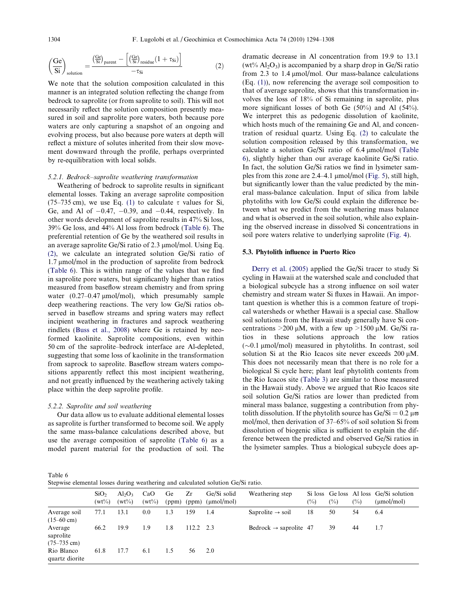$$
\left(\!\frac{Ge}{Si}\!\right)_{solution}=\!\frac{\left(\!\frac{Ge}{Si}\!\right)_{parent}-\left[\left(\!\frac{Ge}{Si}\!\right)_{residue}\!\left(1+\tau_{Si}\right)\right]}{-\tau_{Si}}\qquad \qquad (2)
$$

We note that the solution composition calculated in this manner is an integrated solution reflecting the change from bedrock to saprolite (or from saprolite to soil). This will not necessarily reflect the solution composition presently measured in soil and saprolite pore waters, both because pore waters are only capturing a snapshot of an ongoing and evolving process, but also because pore waters at depth will reflect a mixture of solutes inherited from their slow movement downward through the profile, perhaps overprinted by re-equilibration with local solids.

## 5.2.1. Bedrock–saprolite weathering transformation

Weathering of bedrock to saprolite results in significant elemental losses. Taking an average saprolite composition (75–735 cm), we use Eq. [\(1\)](#page-9-0) to calculate  $\tau$  values for Si, Ge, and Al of  $-0.47$ ,  $-0.39$ , and  $-0.44$ , respectively. In other words development of saprolite results in 47% Si loss, 39% Ge loss, and 44% Al loss from bedrock (Table 6). The preferential retention of Ge by the weathered soil results in an average saprolite Ge/Si ratio of 2.3  $\mu$ mol/mol. Using Eq. (2), we calculate an integrated solution Ge/Si ratio of  $1.7 \mu$ mol/mol in the production of saprolite from bedrock (Table 6). This is within range of the values that we find in saprolite pore waters, but significantly higher than ratios measured from baseflow stream chemistry and from spring water  $(0.27-0.47 \mu m o l/mol)$ , which presumably sample deep weathering reactions. The very low Ge/Si ratios observed in baseflow streams and spring waters may reflect incipient weathering in fractures and saprock weathering rindlets [\(Buss et al., 2008](#page-13-0)) where Ge is retained by neoformed kaolinite. Saprolite compositions, even within 50 cm of the saprolite–bedrock interface are Al-depleted, suggesting that some loss of kaolinite in the transformation from saprock to saprolite. Baseflow stream waters compositions apparently reflect this most incipient weathering, and not greatly influenced by the weathering actively taking place within the deep saprolite profile.

#### 5.2.2. Saprolite and soil weathering

Our data allow us to evaluate additional elemental losses as saprolite is further transformed to become soil. We apply the same mass-balance calculations described above, but use the average composition of saprolite (Table 6) as a model parent material for the production of soil. The dramatic decrease in Al concentration from 19.9 to 13.1 (wt%  $Al_2O_3$ ) is accompanied by a sharp drop in Ge/Si ratio from 2.3 to  $1.4 \mu$ mol/mol. Our mass-balance calculations (Eq. [\(1\)\)](#page-9-0), now referencing the average soil composition to that of average saprolite, shows that this transformation involves the loss of 18% of Si remaining in saprolite, plus more significant losses of both Ge (50%) and Al (54%). We interpret this as pedogenic dissolution of kaolinite, which hosts much of the remaining Ge and Al, and concentration of residual quartz. Using Eq. (2) to calculate the solution composition released by this transformation, we calculate a solution Ge/Si ratio of  $6.4 \mu$ mol/mol (Table 6), slightly higher than our average kaolinite Ge/Si ratio. In fact, the solution Ge/Si ratios we find in lysimeter samples from this zone are  $2.4-4.1 \mu$ mol/mol ([Fig. 5\)](#page-8-0), still high, but significantly lower than the value predicted by the mineral mass-balance calculation. Input of silica from labile phytoliths with low Ge/Si could explain the difference between what we predict from the weathering mass balance and what is observed in the soil solution, while also explaining the observed increase in dissolved Si concentrations in soil pore waters relative to underlying saprolite [\(Fig. 4\)](#page-8-0).

# 5.3. Phytolith influence in Puerto Rico

[Derry et al. \(2005\)](#page-13-0) applied the Ge/Si tracer to study Si cycling in Hawaii at the watershed scale and concluded that a biological subcycle has a strong influence on soil water chemistry and stream water Si fluxes in Hawaii. An important question is whether this is a common feature of tropical watersheds or whether Hawaii is a special case. Shallow soil solutions from the Hawaii study generally have Si concentrations  $>200 \mu M$ , with a few up  $>1500 \mu M$ . Ge/Si ratios in these solutions approach the low ratios  $(\sim 0.1 \text{ }\mu\text{mol/mol})$  measured in phytoliths. In contrast, soil solution Si at the Rio Icacos site never exceeds  $200 \mu M$ . This does not necessarily mean that there is no role for a biological Si cycle here; plant leaf phytolith contents from the Rio Icacos site ([Table 3\)](#page-6-0) are similar to those measured in the Hawaii study. Above we argued that Rio Icacos site soil solution Ge/Si ratios are lower than predicted from mineral mass balance, suggesting a contribution from phytolith dissolution. If the phytolith source has  $Ge/Si = 0.2 \mu\pi$ mol/mol, then derivation of 37–65% of soil solution Si from dissolution of biogenic silica is sufficient to explain the difference between the predicted and observed Ge/Si ratios in the lysimeter samples. Thus a biological subcycle does ap-

Table 6 Stepwise elemental losses during weathering and calculated solution Ge/Si ratio.

|                                               | <u>step wise elemental rosses warming weathering and eareamted solution.</u> Sep 31 ruttor |                       |                 |     |       |                                                |                                    |        |     |        |                                                           |
|-----------------------------------------------|--------------------------------------------------------------------------------------------|-----------------------|-----------------|-----|-------|------------------------------------------------|------------------------------------|--------|-----|--------|-----------------------------------------------------------|
|                                               | SiO <sub>2</sub><br>$(wt\%)$                                                               | $Al_2O_3$<br>$(wt\%)$ | CaO<br>$(wt\%)$ | Ge  | Zr    | Ge/Si solid<br>$(ppm)$ $(ppm)$ $(\mu mol/mol)$ | Weathering step                    | $(\%)$ | (%) | $(\%)$ | Si loss Ge loss Al loss Ge/Si solution<br>$(\mu mol/mol)$ |
| Average soil<br>$(15-60 \text{ cm})$          | 77.1                                                                                       | 13.1                  | 0.0             | 1.3 | 159   | -1.4                                           | Saprolite $\rightarrow$ soil       | 18     | 50  | 54     | 6.4                                                       |
| Average<br>saprolite<br>$(75-735 \text{ cm})$ | 66.2                                                                                       | 19.9                  | 1.9             | 1.8 | 112.2 | 23                                             | Bedrock $\rightarrow$ saprolite 47 |        | 39  | 44     | 1.7                                                       |
| Rio Blanco<br>quartz diorite                  | 61.8                                                                                       | 17.7                  | 6.1             | 1.5 | 56    | 2.0                                            |                                    |        |     |        |                                                           |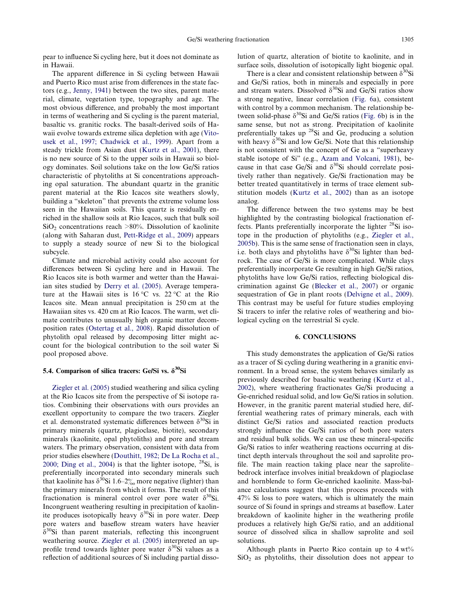pear to influence Si cycling here, but it does not dominate as in Hawaii.

The apparent difference in Si cycling between Hawaii and Puerto Rico must arise from differences in the state factors (e.g., [Jenny, 1941\)](#page-13-0) between the two sites, parent material, climate, vegetation type, topography and age. The most obvious difference, and probably the most important in terms of weathering and Si cycling is the parent material, basaltic vs. granitic rocks. The basalt-derived soils of Hawaii evolve towards extreme silica depletion with age ([Vito](#page-14-0)[usek et al., 1997; Chadwick et al., 1999\)](#page-14-0). Apart from a steady trickle from Asian dust [\(Kurtz et al., 2001\)](#page-13-0), there is no new source of Si to the upper soils in Hawaii so biology dominates. Soil solutions take on the low Ge/Si ratios characteristic of phytoliths at Si concentrations approaching opal saturation. The abundant quartz in the granitic parent material at the Rio Icacos site weathers slowly, building a "skeleton" that prevents the extreme volume loss seen in the Hawaiian soils. This quartz is residually enriched in the shallow soils at Rio Icacos, such that bulk soil  $SiO<sub>2</sub> concentrations reach >80%$ . Dissolution of kaolinite (along with Saharan dust, [Pett-Ridge et al., 2009\)](#page-13-0) appears to supply a steady source of new Si to the biological subcycle.

Climate and microbial activity could also account for differences between Si cycling here and in Hawaii. The Rio Icacos site is both warmer and wetter than the Hawaiian sites studied by [Derry et al. \(2005\)](#page-13-0). Average temperature at the Hawaii sites is  $16^{\circ}$ C vs.  $22^{\circ}$ C at the Rio Icacos site. Mean annual precipitation is 250 cm at the Hawaiian sites vs. 420 cm at Rio Icacos. The warm, wet climate contributes to unusually high organic matter decomposition rates [\(Ostertag et al., 2008](#page-13-0)). Rapid dissolution of phytolith opal released by decomposing litter might account for the biological contribution to the soil water Si pool proposed above.

# 5.4. Comparison of silica tracers: Ge/Si vs.  $\delta^{30}$ Si

[Ziegler et al. \(2005\)](#page-14-0) studied weathering and silica cycling at the Rio Icacos site from the perspective of Si isotope ratios. Combining their observations with ours provides an excellent opportunity to compare the two tracers. Ziegler et al. demonstrated systematic differences between  $\delta^{30}$ Si in primary minerals (quartz, plagioclase, biotite), secondary minerals (kaolinite, opal phytoliths) and pore and stream waters. The primary observation, consistent with data from prior studies elsewhere ([Douthitt, 1982; De La Rocha et al.,](#page-13-0) [2000; Ding et al., 2004](#page-13-0)) is that the lighter isotope,  $^{28}Si$ , is preferentially incorporated into secondary minerals such that kaolinite has  $\delta^{30}$ Si 1.6–2% more negative (lighter) than the primary minerals from which it forms. The result of this fractionation is mineral control over pore water  $\delta^{30}$ Si. Incongruent weathering resulting in precipitation of kaolinite produces isotopically heavy  $\delta^{30}$ Si in pore water. Deep pore waters and baseflow stream waters have heavier  $\delta^{30}$ Si than parent materials, reflecting this incongruent weathering source. [Ziegler et al. \(2005\)](#page-14-0) interpreted an upprofile trend towards lighter pore water  $\delta^{30}$ Si values as a reflection of additional sources of Si including partial dissolution of quartz, alteration of biotite to kaolinite, and in surface soils, dissolution of isotopically light biogenic opal.

There is a clear and consistent relationship between  $\delta^{30}$ Si and Ge/Si ratios, both in minerals and especially in pore and stream waters. Dissolved  $\delta^{30}$ Si and Ge/Si ratios show a strong negative, linear correlation [\(Fig. 6](#page-12-0)a), consistent with control by a common mechanism. The relationship between solid-phase  $\delta^{30}$ Si and Ge/Si ratios ([Fig. 6b](#page-12-0)) is in the same sense, but not as strong. Precipitation of kaolinite preferentially takes up  $^{28}$ Si and Ge, producing a solution with heavy  $\delta^{30}$ Si and low Ge/Si. Note that this relationship is not consistent with the concept of Ge as a "superheavy stable isotope of Si" (e.g., [Azam and Volcani, 1981](#page-12-0)), because in that case Ge/Si and  $\delta^{30}$ Si should correlate positively rather than negatively. Ge/Si fractionation may be better treated quantitatively in terms of trace element substitution models [\(Kurtz et al., 2002](#page-13-0)) than as an isotope analog.

The difference between the two systems may be best highlighted by the contrasting biological fractionation effects. Plants preferentially incorporate the lighter 28Si isotope in the production of phytoliths (e.g., [Ziegler et al.,](#page-14-0) [2005b](#page-14-0)). This is the same sense of fractionation seen in clays, i.e. both clays and phytoliths have  $\delta^{30}$ Si lighter than bedrock. The case of Ge/Si is more complicated. While clays preferentially incorporate Ge resulting in high Ge/Si ratios, phytoliths have low Ge/Si ratios, reflecting biological discrimination against Ge ([Blecker et al., 2007](#page-13-0)) or organic sequestration of Ge in plant roots [\(Delvigne et al., 2009](#page-13-0)). This contrast may be useful for future studies employing Si tracers to infer the relative roles of weathering and biological cycling on the terrestrial Si cycle.

# 6. CONCLUSIONS

This study demonstrates the application of Ge/Si ratios as a tracer of Si cycling during weathering in a granitic environment. In a broad sense, the system behaves similarly as previously described for basaltic weathering [\(Kurtz et al.,](#page-13-0) [2002](#page-13-0)), where weathering fractionates Ge/Si producing a Ge-enriched residual solid, and low Ge/Si ratios in solution. However, in the granitic parent material studied here, differential weathering rates of primary minerals, each with distinct Ge/Si ratios and associated reaction products strongly influence the Ge/Si ratios of both pore waters and residual bulk solids. We can use these mineral-specific Ge/Si ratios to infer weathering reactions occurring at distinct depth intervals throughout the soil and saprolite profile. The main reaction taking place near the saprolite– bedrock interface involves initial breakdown of plagioclase and hornblende to form Ge-enriched kaolinite. Mass-balance calculations suggest that this process proceeds with 47% Si loss to pore waters, which is ultimately the main source of Si found in springs and streams at baseflow. Later breakdown of kaolinite higher in the weathering profile produces a relatively high Ge/Si ratio, and an additional source of dissolved silica in shallow saprolite and soil solutions.

Although plants in Puerto Rico contain up to 4 wt%  $SiO<sub>2</sub>$  as phytoliths, their dissolution does not appear to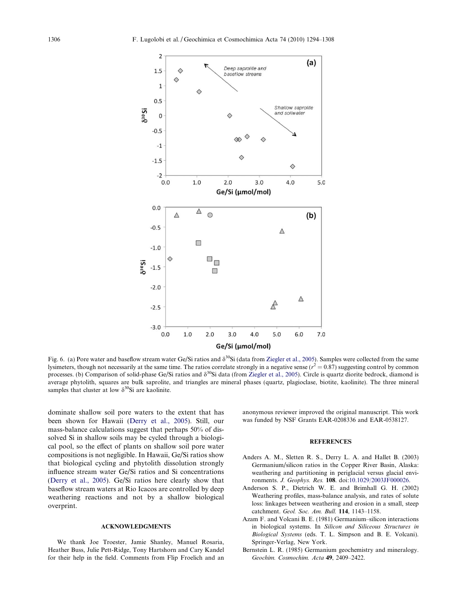<span id="page-12-0"></span>

Fig. 6. (a) Pore water and baseflow stream water Ge/Si ratios and  $\delta^{30}$ Si (data from [Ziegler et al., 2005\)](#page-14-0). Samples were collected from the same lysimeters, though not necessarily at the same time. The ratios correlate strongly in a negative sense  $(r^2 = 0.87)$  suggesting control by common processes. (b) Comparison of solid-phase Ge/Si ratios and  $\delta^{30}$ Si data (from [Ziegler et al., 2005\)](#page-14-0). Circle is quartz diorite bedrock, diamond is average phytolith, squares are bulk saprolite, and triangles are mineral phases (quartz, plagioclase, biotite, kaolinite). The three mineral samples that cluster at low  $\delta^{30}$ Si are kaolinite.

dominate shallow soil pore waters to the extent that has been shown for Hawaii [\(Derry et al., 2005](#page-13-0)). Still, our mass-balance calculations suggest that perhaps 50% of dissolved Si in shallow soils may be cycled through a biological pool, so the effect of plants on shallow soil pore water compositions is not negligible. In Hawaii, Ge/Si ratios show that biological cycling and phytolith dissolution strongly influence stream water Ge/Si ratios and Si concentrations ([Derry et al., 2005](#page-13-0)). Ge/Si ratios here clearly show that baseflow stream waters at Rio Icacos are controlled by deep weathering reactions and not by a shallow biological overprint.

# ACKNOWLEDGMENTS

We thank Joe Troester, Jamie Shanley, Manuel Rosaria, Heather Buss, Julie Pett-Ridge, Tony Hartshorn and Cary Kandel for their help in the field. Comments from Flip Froelich and an anonymous reviewer improved the original manuscript. This work was funded by NSF Grants EAR-0208336 and EAR-0538127.

# **REFERENCES**

- Anders A. M., Sletten R. S., Derry L. A. and Hallet B. (2003) Germanium/silicon ratios in the Copper River Basin, Alaska: weathering and partitioning in periglacial versus glacial environments. J. Geophys. Res. 108. doi[:10.1029/2003JF000026.](http://dx.doi.org/10.1029/2003JF000026)
- Anderson S. P., Dietrich W. E. and Brimhall G. H. (2002) Weathering profiles, mass-balance analysis, and rates of solute loss: linkages between weathering and erosion in a small, steep catchment. Geol. Soc. Am. Bull. 114, 1143–1158.
- Azam F. and Volcani B. E. (1981) Germanium–silicon interactions in biological systems. In Silicon and Siliceous Structures in Biological Systems (eds. T. L. Simpson and B. E. Volcani). Springer-Verlag, New York.
- Bernstein L. R. (1985) Germanium geochemistry and mineralogy. Geochim. Cosmochim. Acta 49, 2409–2422.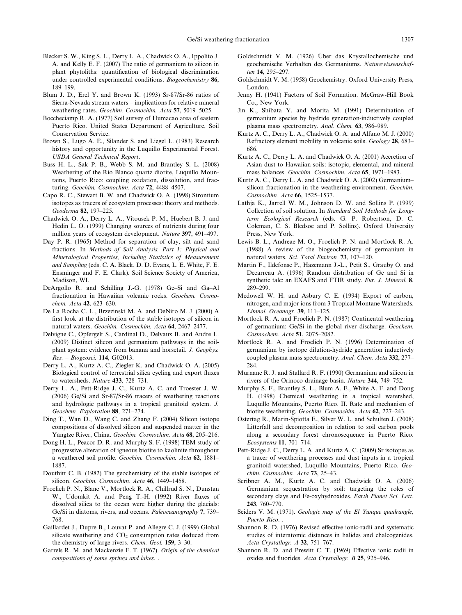- <span id="page-13-0"></span>Blecker S. W., King S. L., Derry L. A., Chadwick O. A., Ippolito J. A. and Kelly E. F. (2007) The ratio of germanium to silicon in plant phytoliths: quantification of biological discrimination under controlled experimental conditions. Biogeochemistry 86, 189–199.
- Blum J. D., Erel Y. and Brown K. (1993) Sr-87/Sr-86 ratios of Sierra-Nevada stream waters – implications for relative mineral weathering rates. Geochim. Cosmochim. Acta 57, 5019–5025.
- Boccheciamp R. A. (1977) Soil survey of Humacao area of eastern Puerto Rico. United States Department of Agriculture, Soil Conservation Service.
- Brown S., Lugo A. E., Silander S. and Liegel L. (1983) Research history and opportunity in the Luquillo Experimental Forest. USDA General Technical Report.
- Buss H. L., Sak P. B., Webb S. M. and Brantley S. L. (2008) Weathering of the Rio Blanco quartz diorite, Luquillo Mountains, Puerto Rico: coupling oxidation, dissolution, and fracturing. Geochim. Cosmochim. Acta 72, 4488–4507.
- Capo R. C., Stewart B. W. and Chadwick O. A. (1998) Strontium isotopes as tracers of ecosystem processes: theory and methods. Geoderma 82, 197–225.
- Chadwick O. A., Derry L. A., Vitousek P. M., Huebert B. J. and Hedin L. O. (1999) Changing sources of nutrients during four million years of ecosystem development. Nature 397, 491–497.
- Day P. R. (1965) Method for separation of clay, silt and sand fractions. In Methods of Soil Analysis. Part 1: Physical and Mineralogical Properties, Including Statistics of Measurement and Sampling (eds. C. A. Black, D. D. Evans, L. E. White, F. E. Ensminger and F. E. Clark). Soil Science Society of America, Madison, WI.
- DeArgollo R. and Schilling J.-G. (1978) Ge–Si and Ga–Al fractionation in Hawaiian volcanic rocks. Geochem. Cosmochem. Acta 42, 623–630.
- De La Rocha C. L., Brzezinski M. A. and DeNiro M. J. (2000) A first look at the distribution of the stable isotopes of silicon in natural waters. Geochim. Cosmochim. Acta 64, 2467–2477.
- Delvigne C., Opfergelt S., Cardinal D., Delvaux B. and Andre L. (2009) Distinct silicon and germanium pathways in the soilplant system: evidence from banana and horsetail. J. Geophys. Res. – Biogeosci. 114, G02013.
- Derry L. A., Kurtz A. C., Ziegler K. and Chadwick O. A. (2005) Biological control of terrestrial silica cycling and export fluxes to watersheds. Nature 433, 728–731.
- Derry L. A., Pett-Ridge J. C., Kurtz A. C. and Troester J. W. (2006) Ge/Si and Sr-87/Sr-86 tracers of weathering reactions and hydrologic pathways in a tropical granitoid system. J. Geochem. Exploration 88, 271–274.
- Ding T., Wan D., Wang C. and Zhang F. (2004) Silicon isotope compositions of dissolved silicon and suspended matter in the Yangtze River, China. Geochim. Cosmochim. Acta 68, 205–216.
- Dong H. L., Peacor D. R. and Murphy S. F. (1998) TEM study of progressive alteration of igneous biotite to kaolinite throughout a weathered soil profile. Geochim. Cosmochim. Acta 62, 1881– 1887.
- Douthitt C. B. (1982) The geochemistry of the stable isotopes of silicon. Geochim. Cosmochim. Acta 46, 1449–1458.
- Froelich P. N., Blanc V., Mortlock R. A., Chillrud S. N., Dunstan W., Udomkit A. and Peng T.-H. (1992) River fluxes of dissolved silica to the ocean were higher during the glacials: Ge/Si in diatoms, rivers, and oceans. Paleoceanography 7, 739– 768.
- Gaillardet J., Dupre B., Louvat P. and Allegre C. J. (1999) Global silicate weathering and  $CO<sub>2</sub>$  consumption rates deduced from the chemistry of large rivers. Chem. Geol. 159, 3–30.
- Garrels R. M. and Mackenzie F. T. (1967). Origin of the chemical compositions of some springs and lakes. .
- Goldschmidt V. M. (1926) Über das Krystallochemische und geochemische Verhalten des Germaniums. Naturewissenschaften 14, 295–297.
- Goldschmidt V. M. (1958) Geochemistry. Oxford University Press, London.
- Jenny H. (1941) Factors of Soil Formation. McGraw-Hill Book Co., New York.
- Jin K., Shibata Y. and Morita M. (1991) Determination of germanium species by hydride generation-inductively coupled plasma mass spectrometry. Anal. Chem. 63, 986–989.
- Kurtz A. C., Derry L. A., Chadwick O. A. and Alfano M. J. (2000) Refractory element mobility in volcanic soils. Geology 28, 683– 686.
- Kurtz A. C., Derry L. A. and Chadwick O. A. (2001) Accretion of Asian dust to Hawaiian soils: isotopic, elemental, and mineral mass balances. Geochim. Cosmochim. Acta 65, 1971–1983.
- Kurtz A. C., Derry L. A. and Chadwick O. A. (2002) Germanium– silicon fractionation in the weathering environment. Geochim. Cosmochim. Acta 66, 1525–1537.
- Lathja K., Jarrell W. M., Johnson D. W. and Sollins P. (1999) Collection of soil solution. In Standard Soil Methods for Longterm Ecological Research (eds. G. P. Robertson, D. C. Coleman, C. S. Bledsoe and P. Sollins). Oxford University Press, New York.
- Lewis B. L., Andreae M. O., Froelich P. N. and Mortlock R. A. (1988) A review of the biogeochemistry of germanium in natural waters. Sci. Total Environ. 73, 107–120.
- Martin F., Ildefonse P., Hazemann J.-L., Petit S., Grauby O. and Decarreau A. (1996) Random distribution of Ge and Si in synthetic talc: an EXAFS and FTIR study. Eur. J. Mineral. 8, 289–299.
- Mcdowell W. H. and Asbury C. E. (1994) Export of carbon, nitrogen, and major ions from 3 Tropical Montane Watersheds. Limnol. Oceanogr. 39, 111–125.
- Mortlock R. A. and Froelich P. N. (1987) Continental weathering of germanium: Ge/Si in the global river discharge. Geochem. Cosmochem. Acta 51, 2075–2082.
- Mortlock R. A. and Froelich P. N. (1996) Determination of germanium by isotope dilution-hydride generation inductively coupled plasma mass spectrometry. Anal. Chem. Acta 332, 277– 284.
- Murnane R. J. and Stallard R. F. (1990) Germanium and silicon in rivers of the Orinoco drainage basin. Nature 344, 749–752.
- Murphy S. F., Brantley S. L., Blum A. E., White A. F. and Dong H. (1998) Chemical weathering in a tropical watershed, Luquillo Mountains, Puerto Rico. II. Rate and mechanism of biotite weathering. Geochim. Cosmochim. Acta 62, 227–243.
- Ostertag R., Marin-Spiotta E., Silver W. L. and Schulten J. (2008) Litterfall and decomposition in relation to soil carbon pools along a secondary forest chronosequence in Puerto Rico. Ecosystems 11, 701–714.
- Pett-Ridge J. C., Derry L. A. and Kurtz A. C. (2009) Sr isotopes as a tracer of weathering processes and dust inputs in a tropical granitoid watershed, Luquillo Mountains, Puerto Rico. Geochim. Cosmochim. Acta 73, 25–43.
- Scribner A. M., Kurtz A. C. and Chadwick O. A. (2006) Germanium sequestration by soil: targeting the roles of secondary clays and Fe-oxyhydroxides. Earth Planet Sci. Lett. 243, 760–770.
- Seiders V. M. (1971). Geologic map of the El Yunque quadrangle, Puerto Rico. .
- Shannon R. D. (1976) Revised effective ionic-radii and systematic studies of interatomic distances in halides and chalcogenides. Acta Crystallogr. A 32, 751–767.
- Shannon R. D. and Prewitt C. T. (1969) Effective ionic radii in oxides and fluorides. Acta Crystallogr. B 25, 925–946.